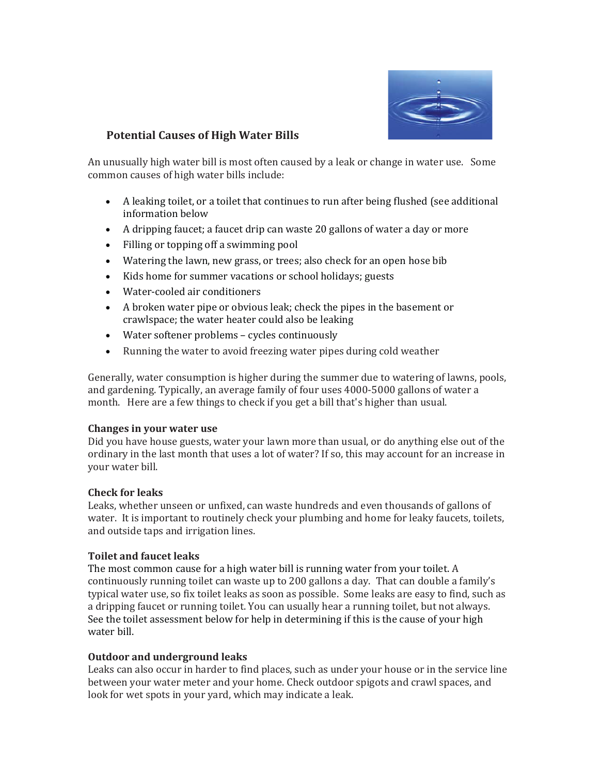

## **Potential Causes of High Water Bills**

An unusually high water bill is most often caused by a leak or change in water use. Some common causes of high water bills include:

- A leaking toilet, or a toilet that continues to run after being flushed (see additional information below
- A dripping faucet; a faucet drip can waste 20 gallons of water a day or more
- Filling or topping off a swimming pool
- Watering the lawn, new grass, or trees; also check for an open hose bib
- Kids home for summer vacations or school holidays; guests
- Water-cooled air conditioners
- A broken water pipe or obvious leak; check the pipes in the basement or crawlspace; the water heater could also be leaking
- Water softener problems cycles continuously
- Running the water to avoid freezing water pipes during cold weather

Generally, water consumption is higher during the summer due to watering of lawns, pools, and gardening. Typically, an average family of four uses 4000-5000 gallons of water a month. Here are a few things to check if you get a bill that's higher than usual.

#### **Changes in your water use**

Did you have house guests, water your lawn more than usual, or do anything else out of the ordinary in the last month that uses a lot of water? If so, this may account for an increase in your water bill.

### **Check for leaks**

Leaks, whether unseen or unfixed, can waste hundreds and even thousands of gallons of water. It is important to routinely check your plumbing and home for leaky faucets, toilets, and outside taps and irrigation lines.

### **Toilet and faucet leaks**

The most common cause for a high water bill is running water from your toilet. A continuously running toilet can waste up to 200 gallons a day. That can double a family's typical water use, so fix toilet leaks as soon as possible. Some leaks are easy to find, such as a dripping faucet or running toilet. You can usually hear a running toilet, but not always. See the toilet assessment below for help in determining if this is the cause of your high water bill.

#### **Outdoor and underground leaks**

Leaks can also occur in harder to find places, such as under your house or in the service line between your water meter and your home. Check outdoor spigots and crawl spaces, and look for wet spots in your yard, which may indicate a leak.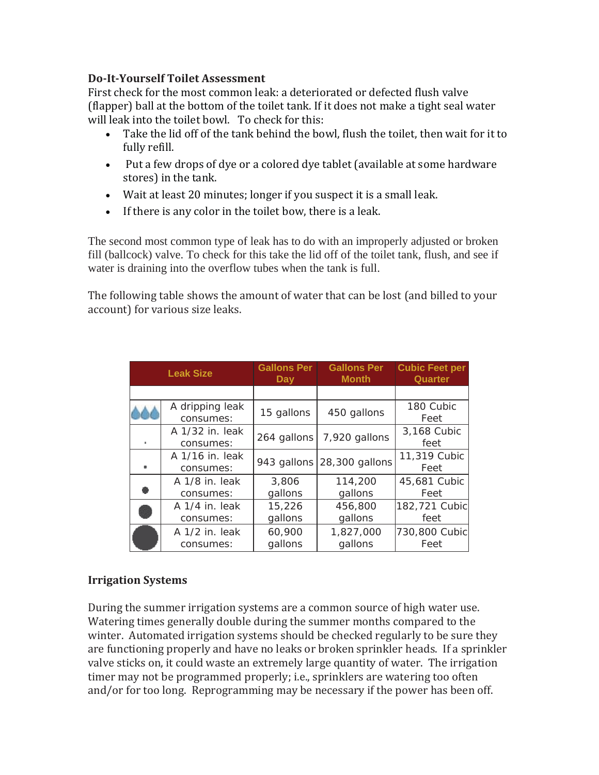# **DoǦItǦYourself Toilet Assessment**

First check for the most common leak: a deteriorated or defected flush valve (flapper) ball at the bottom of the toilet tank. If it does not make a tight seal water will leak into the toilet bowl. To check for this:

- Take the lid off of the tank behind the bowl, flush the toilet, then wait for it to fully refill.
- Put a few drops of dye or a colored dye tablet (available at some hardware stores) in the tank.
- Wait at least 20 minutes; longer if you suspect it is a small leak.
- If there is any color in the toilet bow, there is a leak.

The second most common type of leak has to do with an improperly adjusted or broken fill (ballcock) valve. To check for this take the lid off of the toilet tank, flush, and see if water is draining into the overflow tubes when the tank is full.

The following table shows the amount of water that can be lost (and billed to your account) for various size leaks.

| <b>Leak Size</b> |                              | <b>Gallons Per</b> | <b>Gallons Per</b>         | <b>Cubic Feet per</b> |
|------------------|------------------------------|--------------------|----------------------------|-----------------------|
|                  |                              | Day                | <b>Month</b>               | <b>Quarter</b>        |
|                  |                              |                    |                            |                       |
|                  | A dripping leak<br>consumes: | 15 gallons         | 450 gallons                | 180 Cubic<br>Feet     |
| m.               | A 1/32 in. leak<br>consumes: | 264 gallons        | 7,920 gallons              | 3,168 Cubic<br>feet   |
| m.               | A 1/16 in. leak<br>consumes: |                    | 943 gallons 28,300 gallons | 11,319 Cubic<br>Feet  |
|                  | A 1/8 in. leak               | 3,806              | 114,200                    | 45,681 Cubic          |
|                  | consumes:                    | gallons            | gallons                    | Feet                  |
|                  | A 1/4 in. leak               | 15,226             | 456,800                    | 182,721 Cubic         |
|                  | consumes:                    | gallons            | gallons                    | feet                  |
|                  | A 1/2 in. leak               | 60,900             | 1,827,000                  | 730,800 Cubic         |
|                  | consumes:                    | gallons            | gallons                    | Feet                  |

# **Irrigation Systems**

During the summer irrigation systems are a common source of high water use. Watering times generally double during the summer months compared to the winter. Automated irrigation systems should be checked regularly to be sure they are functioning properly and have no leaks or broken sprinkler heads. If a sprinkler valve sticks on, it could waste an extremely large quantity of water. The irrigation timer may not be programmed properly; i.e., sprinklers are watering too often and/or for too long. Reprogramming may be necessary if the power has been off.